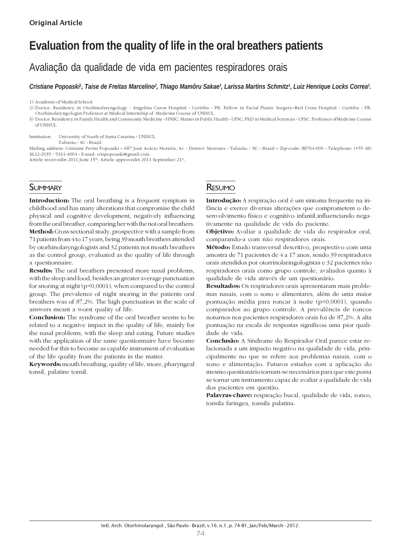# **Evaluation from the quality of life in the oral breathers patients**

Avaliação da qualidade de vida em pacientes respiradores orais

*Cristiane Popoaski1 , Taise de Freitas Marcelino2 , Thiago Mamôru Sakae3 , Larissa Martins Schmitz1 , Luiz Henrique Locks Correa1 .*

1) Academic of Medical School.

2) Doctor, Residency in Otorhinolaryngology - Angelina Caron Hospital - Curitiba - PR, Fellow in Facial Plastic Surgery–Red Cross Hospital - Curitiba - PR. Otorhinolaryngologist Professor at Medical Internship of Medicine Course of UNISUL.

3) Doctor, Residency in Family Health and Community Medicine - HNSC; Master in Public Health - UFSC; PhD in Medical Sciences - UFSC. Professor ofMedicine Course of UNISUL.

Institution: University of South of Santa Catarina - UNISUL. Tubarão / SC - Brazil.

Mailing address: Cristiane Perini Popoaski – 687 José Acácio Moreira, Av - District: Morrotes - Tubarão / SC - Brazil – Zip-code: 88704-000 - Telephone: (+55 48) 3622-2039 / 9161-4004 - E-mail: crispopoaski@gmail.com

Article receivedin 2011 June 15<sup>th</sup>. Article approvedin 2011 September 21<sup>st</sup>.

# **SUMMARY**

Introduction: The oral breathing is a frequent symptom in childhood and has many alterations that compromise the child physical and cognitive development, negatively influencing from the oral breather, comparing her with the not oral breathers. Method: Cross sectional study, prospective with a sample from 71 patients from 4 to 17 years, being 39 mouth breathers attended by otorhinolaryngologists and 32 patients not mouth breathers as the control group, evaluated as the quality of life through a questionnaire.

Results: The oral breathers presented more nasal problems, with the sleep and food, besides an greater average punctuation for snoring at night (p<0,0001), when compared to the control group. The prevalence of night snoring in the patients oral breathers was of 87,2%. The high punctuation in the scale of answers meant a worst quality of life.

Conclusion: The syndrome of the oral breather seems to be related to a negative impact in the quality of life, mainly for the nasal problems, with the sleep and eating. Future studies with the application of the same questionnaire have become needed for this to become as capable instrument of evaluation of the life quality from the patients in the matter.

Keywords: mouth breathing, quality of life, snore, pharyngeal tonsil, palatine tonsil.

# RESUMO

Introdução: A respiração oral é um sintoma frequente na infância e exerce diversas alterações que comprometem o desenvolvimento físico e cognitivo infantil,influenciando negativamente na qualidade de vida do paciente.

Objetivo: Avaliar a qualidade de vida do respirador oral, comparando-a com não respiradores orais.

Método: Estudo transversal descritivo, prospectivo com uma amostra de 71 pacientes de 4 a 17 anos, sendo 39 respiradores orais atendidos por otorrinolaringologistas e 32 pacientes não respiradores orais como grupo controle, avaliados quanto à qualidade de vida através de um questionário.

Resultados: Os respiradores orais apresentaram mais problemas nasais, com o sono e alimentares, além de uma maior pontuação média para roncar à noite (p<0,0001), quando comparados ao grupo controle. A prevalência de roncos noturnos nos pacientes respiradores orais foi de 87,2%. A alta pontuação na escala de respostas significou uma pior qualidade de vida.

Conclusão: A Síndrome do Respirador Oral parece estar relacionada a um impacto negativo na qualidade de vida, principalmente no que se refere aos problemas nasais, com o sono e alimentação. Futuros estudos com a aplicação do mesmo questionário tornam-se necessários para que este possa se tornar um instrumento capaz de avaliar a qualidade de vida dos pacientes em questão.

Palavras-chave: respiração bucal, qualidade de vida, ronco, tonsila faríngea, tonsila palatina.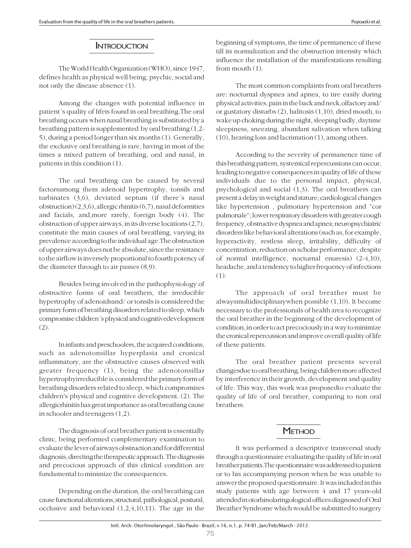#### **INTRODUCTION**

The World Health Organization (WHO), since 1947, defines health as physical well being, psychic, social and not only the disease absence (1).

Among the changes with potential influence in patient´s quality of lifeis found in oral breathing.The oral breathing occurs when nasal breathing is substituted by a breathing pattern is supplemented by oral breathing (1,2- 5), during a period longer than six months (1). Generally, the exclusive oral breathing is rare, having in most of the times a mixed pattern of breathing, oral and nasal, in patients in this condition (1).

The oral breathing can be caused by several factorsamong them adenoid hypertrophy, tonsils and turbinates (3,6), deviated septum (if there´s nasal obstruction) (2,3,6), allergic rhinitis (6,7), nasal deformities and facials, and,more rarely, foreign body (4). The obstruction of upper airways, in its diverse locations (2,7), constitute the main causes of oral breathing, varying its prevalence according to the individual age.The obstruction of upper airways does not be absolute, since the resistance to the airflow is inversely proportional to fourth potency of the diameter through to air passes (8,9).

Besides being involved in the pathophysiology of obstructive forms of oral breathers, the irreducible hypertrophy of adenoidsand/ or tonsils is considered the primary form of breathing disorders related to sleep, which compromise children´s physical and cognitivedevelopment (2).

In infants and preschoolers, the acquired conditions, such as adenotonsillar hyperplasia and cronical inflammatory, are the obstructive causes observed with greater frequency (1), being the adenotonsillar hypertrophyirreducible is considered the primary form of breathing disorders related to sleep, which compromises children's physical and cognitive development. (2). The allergicrhinitis has great importance as oral breathing cause in schooler and teenagers (1,2).

The diagnosis of oral breather patient is essentially clinic, being performed complementary examination to evaluate the lever of airways obstruction and for differential diagnosis, directing the therapeutic approach. The diagnosis and precocious approach of this clinical condition are fundamental to minimize the consequences.

Depending on the duration, the oral breathing can cause functional alterations, structural, pathological, postural, occlusive and behavioral (1,2,4,10,11). The age in the beginning of symptoms, the time of permanence of these till its normalization and the obstruction intensity which influence the installation of the manifestations resulting from mouth (1).

The most common complaints from oral breathers are: nocturnal dyspnea and apnea, to tire easily during physical activities, pain in the back and neck,olfactory and/ or gustatory disturbs (2), halitosis (1,10), dried mouth, to wake up choking during the night, sleeping badly, daytime sleepiness, sneezing, abundant salivation when talking (10), hearing loss and lacrimation (1), among others.

According to the severity of permanence time of this breathing pattern, systemical repercussions can occur, leading to negative consequences in quality of life of these individuals due to the personal impact, physical, psychological and social (1,3). The oral breathers can present a delay in weight and stature; cardiological changes like hypertension , pulmonary hypertension and "cor pulmonale"; lower respiratory disorders with greater cough frequency, obstructive dyspnea and apnea; neuropsychiatric disorders like behavioral alterations (such as, for example, hyperactivity, restless sleep, irritability, difficulty of concentration, reduction on scholar performance, despite of normal intelligence, nocturnal enuresis) (2-4,10), headache, and a tendency to higher frequency of infections (1).

The approach of oral breather must be alwaysmultidisciplinarywhen possible (1,10). It become necessary to the professionals of health area to recognize the oral breather in the beginning of the development of condition, in order to act precociously in a way to minimize the cronical repercussion and improve overall quality of life of these patients.

The oral breather patient presents several changesdue to oral breathing, being children more affected by interference in their growth, development and quality of life. This way, this work was proposedto evaluate the quality of life of oral breather, comparing to non oral breathers.

### **METHOD**

It was performed a descriptive transversal study through a questionnaire evaluating the quality of life in oral breather patients.The questionnaire was addressed to patient or to his accompanying person when he was unable to answer the proposed questionnaire. It was included in this study patients with age between 4 and 17 years-old attended in otorhinolaringological offices diagnosed of Oral Breather Syndrome which would be submitted to surgery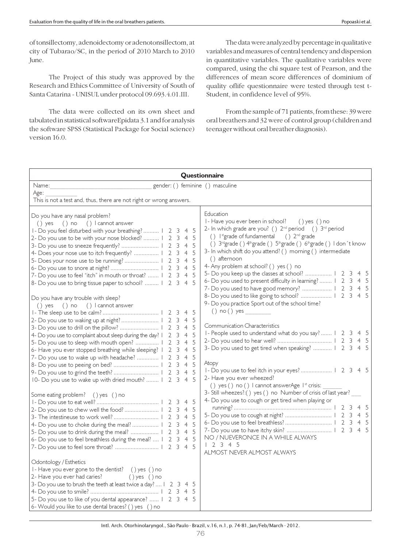of tonsillectomy, adenoidectomy or adenotonsillectom, at city of Tubarao/SC, in the period of 2010 March to 2010 June.

The Project of this study was approved by the Research and Ethics Committee of University of South of Santa Catarina - UNISUL under protocol 09.693.4.01.III.

The data were collected on its own sheet and tabulated in statistical softwareEpidata 3.1 and for analysis the software SPSS (Statistical Package for Social science) version 16.0.

The data were analyzed by percentage in qualitative variables and measures of central tendency and dispersion in quantitative variables. The qualitative variables were compared, using the chi square test of Pearson, and the differences of mean score differences of dominium of quality oflife questionnaire were tested through test t-Student, in confidence level of 95%.

From the sample of 71 patients, from these: 39 were oral breathers and 32 were of control group (children and teenager without oral breather diagnosis).

| Questionnaire                                                                                                                                                                                                                                                                                                                                                                                                                                                                                                                                                                                    |                                                                                                                                                                                                                                                                                                                                                                                                                                                                                                                                                                                                                          |  |  |  |  |
|--------------------------------------------------------------------------------------------------------------------------------------------------------------------------------------------------------------------------------------------------------------------------------------------------------------------------------------------------------------------------------------------------------------------------------------------------------------------------------------------------------------------------------------------------------------------------------------------------|--------------------------------------------------------------------------------------------------------------------------------------------------------------------------------------------------------------------------------------------------------------------------------------------------------------------------------------------------------------------------------------------------------------------------------------------------------------------------------------------------------------------------------------------------------------------------------------------------------------------------|--|--|--|--|
| gender: () feminine () masculine<br>Name:                                                                                                                                                                                                                                                                                                                                                                                                                                                                                                                                                        |                                                                                                                                                                                                                                                                                                                                                                                                                                                                                                                                                                                                                          |  |  |  |  |
| Age:                                                                                                                                                                                                                                                                                                                                                                                                                                                                                                                                                                                             |                                                                                                                                                                                                                                                                                                                                                                                                                                                                                                                                                                                                                          |  |  |  |  |
| This is not a test and, thus, there are not right or wrong answers.                                                                                                                                                                                                                                                                                                                                                                                                                                                                                                                              |                                                                                                                                                                                                                                                                                                                                                                                                                                                                                                                                                                                                                          |  |  |  |  |
| Do you have any nasal problem?<br>() yes () no () l cannot answer<br>I - Do you feel disturbed with your breathing?    2 3 4 5<br>2- Do you use to be with your nose blocked?  1 2<br>5<br>3<br>$\overline{4}$<br>5<br>$\overline{4}$<br>3<br>4- Does your nose use to itch frequently?    2 3<br>$\overline{4}$<br>5<br>5<br>$\overline{4}$<br>5<br>$\overline{4}$<br>7- Do you use to feel "itch" in mouth or throat?  I<br>5<br>$\overline{2}$<br>3<br>$\overline{4}$<br>-5<br>8- Do you use to bring tissue paper to school?  1 2 3<br>$\overline{4}$<br>Do you have any trouble with sleep? | Education<br>I - Have you ever been in school?<br>() yes () no<br>2- In which grade are you? () $2^{nd}$ period () $3^{rd}$ period<br>() Ist grade of fundamental () 2 <sup>nd</sup> grade<br>() 3rdgrade () 4th grade () 5th grade () 6th grade () I don't know<br>3- In which shift do you attend? () morning () intermediate<br>() afternoon<br>4- Any problem at school? () yes () no<br>5- Do you keep up the classes at school?    2 3 4 5<br>6- Do you used to present difficulty in learning?  1 2 3 4 5<br>7- Do you used to have good memory?  1 2 3 4 5<br>8- Do you used to like going to school?  1 2 3 4 5 |  |  |  |  |
| () yes () no () I cannot answer<br>45<br>2- Do you use to waking up at night?    2 3<br>4 5<br>-5<br>$\overline{4}$<br>4- Do you use to complaint about sleep during the day? I<br>5<br>$\overline{2}$<br>$\overline{4}$<br>3<br>$\overline{4}$<br>5<br>5- Do you use to sleep with mouth open?   <br>$\overline{3}$<br>2<br>5<br>6- Have you ever stopped breathing while sleeping?   2 3<br>$\overline{4}$                                                                                                                                                                                     | 9- Do you practice Sport out of the school time?<br>() no () yes<br>Communication Characteristics<br>I - People used to understand what do you say?  1 2 3 4 5<br>3- Do you used to get tired when speaking?    2 3 4 5                                                                                                                                                                                                                                                                                                                                                                                                  |  |  |  |  |
| 5<br>7- Do you use to wake up with headache?    2<br>$\overline{4}$<br>5<br>3<br>$\overline{4}$<br>5<br>2 <sub>3</sub><br>$\overline{4}$<br>10- Do you use to wake up with dried mouth?  1 2<br>.5<br>3<br>$\overline{4}$                                                                                                                                                                                                                                                                                                                                                                        | Atopy<br>I - Do you use to feel itch in your eyes?    2 3 4 5<br>2- Have you ever wheezed?<br>() yes () no () I cannot answerAge I <sup>st</sup> crisis:                                                                                                                                                                                                                                                                                                                                                                                                                                                                 |  |  |  |  |
| Some eating problem? () yes () no<br>- 5<br>2- Do you use to chew well the food?    2 3<br>4 <sub>5</sub><br>$\overline{4}$<br>5<br>4- Do you use to choke during the meal?   2 3<br>$\overline{4}$<br>5<br>5<br>5- Do you use to drink during the meal?    2 3<br>$\overline{4}$<br>6- Do you use to feel breathless during the meal?  1 2<br>-5<br>3<br>$\overline{4}$                                                                                                                                                                                                                         | 3- Still wheezes?:() yes () no Number of crisis of last year?<br>4- Do you use to cough or get tired when playing or<br>NO / NUEVERONCE IN A WHILE ALWAYS<br>12345<br>ALMOST NEVER ALMOST ALWAYS                                                                                                                                                                                                                                                                                                                                                                                                                         |  |  |  |  |
| Odontology / Esthetics<br>I - Have you ever gone to the dentist? () yes () no<br>2- Have you ever had caries?<br>$()$ yes $()$ no<br>3- Do you use to brush the teeth at least twice a day?  1 2 3 4 5<br>5- Do you use to like of you dental appearance?  1 2 3 4 5<br>6- Would you like to use dental braces? () yes () no                                                                                                                                                                                                                                                                     |                                                                                                                                                                                                                                                                                                                                                                                                                                                                                                                                                                                                                          |  |  |  |  |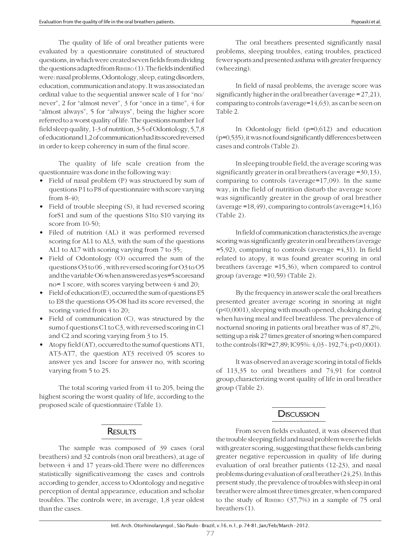The quality of life of oral breather patients were evaluated by a questionnaire constituted of structured questions, in which were created seven fields from dividing the questions adapted from RIBEIRO (1). The fields indentified were: nasal problems, Odontology, sleep, eating disorders, education, communication and atopy. It was associated an ordinal value to the sequential answer scale of 1 for "no/ never", 2 for "almost never", 3 for "once in a time", 4 for "almost always", 5 for "always", being the higher score referred to a worst quality of life. The questions number 1of field sleep quality, 1-3 of nutrition, 3-5 of Odontology, 5,7,8 of educationand 1,2 of communication had its scored reversed in order to keep coherency in sum of the final score.

The quality of life scale creation from the questionnaire was done in the following way:

- Field of nasal problem (P) was structured by sum of questions P1 to P8 of questionnaire with score varying from 8-40;
- Field of trouble sleeping (S), it had reversed scoring forS1 and sum of the questions S1to S10 varying its score from 10-50;
- Filed of nutrition (AL) it was performed reversed scoring for AL1 to AL3, with the sum of the questions AL1 to AL7 with scoring varying from 7 to 35;
- Field of Odontology (O) occurred the sum of the questions O3 to 06 , with reversed scoring for O3 to O5 and the variable O6 when answered as yes=5 scoresand no= 1 score, with scores varying between 4 and 20;
- Field of education (E), occurred the sum of questions E5 to E8 the questions O5-O8 had its score reversed, the scoring varied from 4 to 20;
- Field of communication (C), was structured by the sumo f questions C1 to C3, with reversed scoring in C1 and C2 and scoring varying from 3 to 15.
- Atopy field (AT), occurred to the sumof questions AT1, AT3-AT7, the question AT3 received 05 scores to answer yes and 1score for answer no, with scoring varying from 5 to 25.

The total scoring varied from 41 to 205, being the highest scoring the worst quality of life, according to the proposed scale of questionnaire (Table 1).

### **RESULTS**

The sample was composed of 39 cases (oral breathers) and 32 controls (non oral breathers), at age of between 4 and 17 years-old.There were no differences statistically significativeamong the cases and controls according to gender, access to Odontology and negative perception of dental appearance, education and scholar troubles. The controls were, in average, 1,8 year oldest than the cases.

The oral breathers presented significantly nasal problems, sleeping troubles, eating troubles, practiced fewer sports and presented asthma with greater frequency (wheezing).

In field of nasal problems, the average score was significantly higher in the oral breather (average = 27,21), comparing to controls (average=14,63), as can be seen on Table 2.

In Odontology field (p=0,612) and education (p=0,535), it was not found significantly differences between cases and controls (Table 2).

In sleeping trouble field, the average scoring was significantly greater in oral breathers (average =30,13), comparing to controls (average=17,09). In the same way, in the field of nutrition disturb the average score was significantly greater in the group of oral breather (average =18,49), comparing to controls (average=14,16) (Table 2).

In field of communication characteristics,the average scoring was significantly greater in oral breathers (average  $=5,92$ ), comparing to controls (average  $=4,31$ ). In field related to atopy, it was found greater scoring in oral breathers (average =15,36), when compared to control group (average =10,59) (Table 2).

By the frequency in answer scale the oral breathers presented greater average scoring in snoring at night (p<0,0001), sleeping with mouth opened, choking during when having meal and feel breathless. The prevalence of nocturnal snoring in patients oral breather was of 87,2%, setting up a risk 27 times greater of snoring when compared to the controls (RP=27,89; IC95%: 4,03 - 192,74; p<0,0001).

It was observed an average scoring in total of fields of 113,35 to oral breathers and 74,91 for control group,characterizing worst quality of life in oral breather group (Table 2).

# **DISCUSSION**

From seven fields evaluated, it was observed that the trouble sleeping field and nasal problem were the fields with greater scoring, suggesting that these fields can bring greater negative repercussion in quality of life during evaluation of oral breather patients (12-23), and nasal problems during evaluation of oral breather (24,25). In this present study, the prevalence of troubles with sleep in oral breather were almost three times greater, when compared to the study of RIBEIRO (37,7%) in a sample of 75 oral breathers (1).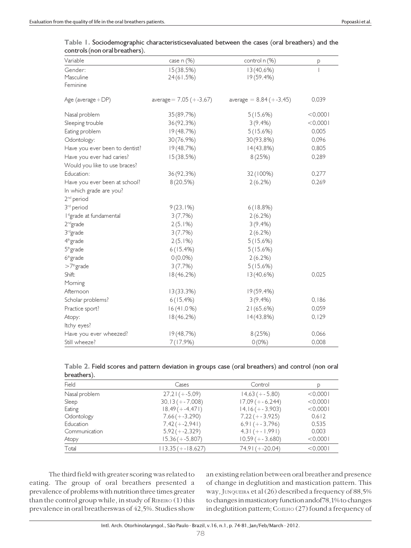| Variable                             | case n (%)                | control n (%)             | P         |
|--------------------------------------|---------------------------|---------------------------|-----------|
| Gender:                              | 15(38,5%)                 | 13(40,6%)                 |           |
| Masculine                            | 24(61,5%)                 | $19(59, 4\%)$             |           |
| Feminine                             |                           |                           |           |
| Age (average + DP)                   | average = $7,05 (+-3,67)$ | average = $8,84 (+-3,45)$ | 0,039     |
| Nasal problem                        | 35 (89,7%)                | 5(15,6%)                  | $<$ 0,000 |
| Sleeping trouble                     | 36 (92,3%)                | $3(9, 4\%)$               | $<$ 0,000 |
| Eating problem                       | 19(48,7%)                 | 5(15,6%)                  | 0,005     |
| Odontology:                          | 30 (76,9%)                | 30 (93,8%)                | 0,096     |
| Have you ever been to dentist?       | 19(48,7%)                 | 14(43,8%)                 | 0,805     |
| Have you ever had caries?            | 15(38,5%)                 | 8(25%)                    | 0,289     |
| Would you like to use braces?        |                           |                           |           |
| Education:                           | 36 (92,3%)                | 32 (100%)                 | 0,277     |
| Have you ever been at school?        | $8(20,5\%)$               | $2(6,2\%)$                | 0,269     |
| In which grade are you?              |                           |                           |           |
| 2 <sup>nd</sup> period               |                           |                           |           |
| 3 <sup>rd</sup> period               | 9(23,1%)                  | 6(18,8%)                  |           |
| I <sup>st</sup> grade at fundamental | 3(7,7%)                   | 2(6,2%)                   |           |
| 2 <sup>nd</sup> grade                | $2(5,1\%)$                | $3(9, 4\%)$               |           |
| 3 <sup>rd</sup> grade                | 3(7,7%)                   | $2(6,2\%)$                |           |
| 4 <sup>th</sup> grade                | $2(5,1\%)$                | 5(15,6%)                  |           |
| $5th$ grade                          | $6(15, 4\%)$              | 5(15,6%)                  |           |
| $6th$ grade                          | $0(0,0\%)$                | 2(6,2%)                   |           |
| $>7th$ grade                         | 3(7,7%)                   | 5(15,6%)                  |           |
| Shift:                               | 18(46,2%)                 | 13(40,6%)                 | 0,025     |
| Morning                              |                           |                           |           |
| Afternoon                            | 13(33,3%)                 | $19(59, 4\%)$             |           |
| Scholar problems?                    | $6(15, 4\%)$              | $3(9, 4\%)$               | 0,186     |
| Practice sport?                      | 16(41,0%)                 | 21(65,6%)                 | 0,059     |
| Atopy:                               | 18(46,2%)                 | 14(43,8%)                 | 0,129     |
| Itchy eyes?                          |                           |                           |           |
| Have you ever wheezed?               | 19(48,7%)                 | 8(25%)                    | 0,066     |
| Still wheeze?                        | 7(17,9%)                  | $0(0\%)$                  | 0,008     |

|                                | Table 1. Sociodemographic characteristicsevaluated between the cases (oral breathers) and the |  |  |
|--------------------------------|-----------------------------------------------------------------------------------------------|--|--|
| controls (non oral breathers). |                                                                                               |  |  |

| Table 2. Field scores and pattern deviation in groups case (oral breathers) and control (non oral |  |  |  |
|---------------------------------------------------------------------------------------------------|--|--|--|
| breathers).                                                                                       |  |  |  |

| <u>-</u>      |                      |                      |           |  |
|---------------|----------------------|----------------------|-----------|--|
| Field         | Cases                | Control              |           |  |
| Nasal problem | $27,21 (+-5,09)$     | $14,63 (+ - 5,80)$   | $<$ 0,000 |  |
| Sleep         | $30, 13 (+ - 7,008)$ | $17,09 (+-6,244)$    | $<$ 0,000 |  |
| Eating        | $18,49(+-4,471)$     | $14, 16 (+ - 3,903)$ | < 0.0001  |  |
| Odontology    | $7,66 (+-3,290)$     | $7,22 (+-3,925)$     | 0,612     |  |
| Education     | $7,42 (+-2,941)$     | $6,91 (+-3,796)$     | 0,535     |  |
| Communication | $5,92 (+-2,329)$     | $4,3$ (+-1,991)      | 0.003     |  |
| Atopy         | $15,36(+-5,807)$     | $10,59 (+ - 3,680)$  | $<$ 0,000 |  |
| Total         | $113,35 (+-18,627)$  | $74,91 (+-20,04)$    | < 0.0001  |  |
|               |                      |                      |           |  |

The third field with greater scoring was related to eating. The group of oral breathers presented a prevalence of problems with nutrition three times greater than the control group while, in study of RIBEIRO (1) this prevalence in oral breatherswas of 42,5%. Studies show

an existing relation between oral breather and presence of change in deglutition and mastication pattern. This way, JUNQUEIRA et al (26) described a frequency of 88,5% to changes in masticatory function andof78,1% to changes in deglutition pattern; COELHO (27) found a frequency of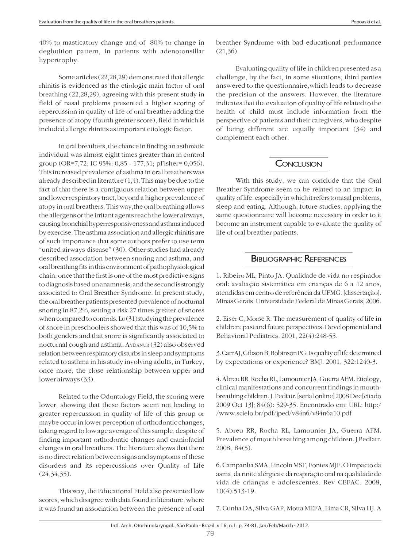40% to masticatory change and of 80% to change in deglutition pattern, in patients with adenotonsillar hypertrophy.

Some articles (22,28,29) demonstrated that allergic rhinitis is evidenced as the etiologic main factor of oral breathing (22,28,29), agreeing with this present study in field of nasal problems presented a higher scoring of repercussion in quality of life of oral breather adding the presence of atopy (fourth greater score), field in which is included allergic rhinitis as important etiologic factor.

In oral breathers, the chance in finding an asthmatic individual was almost eight times greater than in control group (OR=7,72; IC 95%: 0,85 - 177,31; pFisher= 0,056). This increased prevalence of asthma in oral breathers was already described in literature (1,4). This may be due to the fact of that there is a contiguous relation between upper and lower respiratory tract, beyond a higher prevalence of atopy in oral breathers. This way,the oral breathing allows the allergens or the irritant agents reach the lower airways, causing bronchial hyperresponsiveness and asthma induced by exercise. The asthma association and allergic rhinitis are of such importance that some authors prefer to use term "united airways disease" (30). Other studies had already described association between snoring and asthma, and oral breathing fits in this environment of pathophysiological chain, once that the first is one of the most predictive signs to diagnosis based on anamnesis, and the second is strongly associated to Oral Breather Syndrome. In present study, the oral breather patients presented prevalence of nocturnal snoring in 87,2%, setting a risk 27 times greater of snores when compared to controls. Lu(31)studying the prevalence of snore in preschoolers showed that this was of 10,5% to both genders and that snore is significantly associated to nocturnal cough and asthma. AYDANUR (32) also observed relation between respiratory disturbs in sleep and symptoms related to asthma in his study involving adults, in Turkey, once more, the close relationship between upper and lower airways (33).

Related to the Odontology Field, the scoring were lower, showing that these factors seem not leading to greater repercussion in quality of life of this group or maybe occur in lower perception of orthodontic changes, taking regard to low age average of this sample, despite of finding important orthodontic changes and craniofacial changes in oral breathers. The literature shows that there is no direct relation between signs and symptoms of these disorders and its repercussions over Quality of Life (24,34,35).

This way, the Educational Field also presented low scores, which disagree with data found in literature, where it was found an association between the presence of oral breather Syndrome with bad educational performance (21,36).

Evaluating quality of life in children presented as a challenge, by the fact, in some situations, third parties answered to the questionnaire,which leads to decrease the precision of the answers. However, the literature indicates that the evaluation of quality of life related to the health of child must include information from the perspective of patients and their caregivers, who despite of being different are equally important (34) and complement each other.

# CONCLUSION

With this study, we can conclude that the Oral Breather Syndrome seem to be related to an impact in quality of life, especially in which it refers to nasal problems, sleep and eating. Although, future studies, applying the same questionnaire will become necessary in order to it become an instrument capable to evaluate the quality of life of oral breather patients.

# BIBLIOGRAPHIC REFERENCES

1. Ribeiro ML, Pinto JA. Qualidade de vida no respirador oral: avaliação sistemática em crianças de 6 a 12 anos, atendidas em centro de referência da UFMG. [dissertação]. Minas Gerais: Universidade Federal de Minas Gerais; 2006.

2. Eiser C, Morse R. The measurement of quality of life in children: past and future perspectives. Developmental and Behavioral Pediatrics. 2001, 22(4):248-55.

3. Carr AJ, Gibson B, Robinson PG. Is quality of life determined by expectations or experience? BMJ. 2001, 322:1240-3.

4. Abreu RR, Rocha RL, Lamounier JA, Guerra AFM. Etiology, clinical manifestations and concurrent findings in mouthbreathing children. J. Pediatr. [serial online] 2008 Dec [citado 2009 Oct 13]; 84(6): 529-35. Encontrado em: URL: http:/ /www.scielo.br/pdf/jped/v84n6/v84n6a10.pdf

5. Abreu RR, Rocha RL, Lamounier JA, Guerra AFM. Prevalence of mouth breathing among children. J Pediatr. 2008, 84(5).

6. Campanha SMA, Lincoln MSF, Fontes MJF. O impacto da asma, da rinite alérgica e da respiração oral na qualidade de vida de crianças e adolescentes. Rev CEFAC. 2008, 10(4):513-19.

7. Cunha DA, Silva GAP, Motta MEFA, Lima CR, Silva HJ. A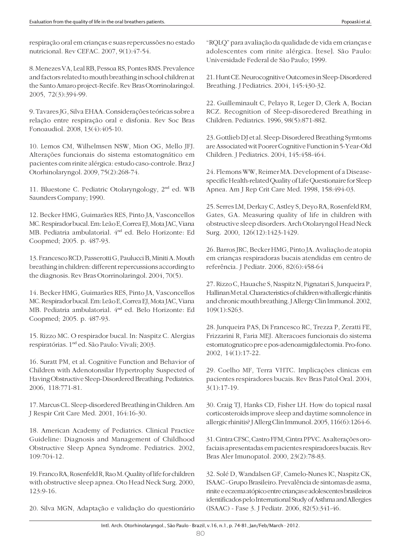respiração oral em crianças e suas repercussões no estado nutricional. Rev CEFAC. 2007, 9(1):47-54.

8. Menezes VA, Leal RB, Pessoa RS, Pontes RMS. Prevalence and factors related to mouth breathing in school children at the Santo Amaro project-Recife. Rev Bras Otorrinolaringol. 2005, 72(3):394-99.

9. Tavares JG, Silva EHAA. Considerações teóricas sobre a relação entre respiração oral e disfonia. Rev Soc Bras Fonoaudiol. 2008, 13(4):405-10.

10. Lemos CM, Wilhelmsen NSW, Mion OG, Mello JFJ. Alterações funcionais do sistema estomatognático em pacientes com rinite alérgica: estudo caso-controle. Braz J Otorhinolaryngol. 2009, 75(2):268-74.

11. Bluestone C. Pediatric Otolaryngology, 2nd ed. WB Saunders Company; 1990.

12. Becker HMG, Guimarães RES, Pinto JA, Vasconcellos MC. Respirador bucal. Em: Leão E, Correa EJ, Mota JAC, Viana MB. Pediatria ambulatorial. 4nd ed. Belo Horizonte: Ed Coopmed; 2005. p. 487-93.

13. Francesco RCD, Passerotti G, Paulucci B, Miniti A. Mouth breathing in children: different repercussions according to the diagnosis. Rev Bras Otorrinolaringol. 2004, 70(5).

14. Becker HMG, Guimarães RES, Pinto JA, Vasconcellos MC. Respirador bucal. Em: Leão E, Correa EJ, Mota JAC, Viana MB. Pediatria ambulatorial. 4nd ed. Belo Horizonte: Ed Coopmed; 2005. p. 487-93.

15. Rizzo MC. O respirador bucal. In: Naspitz C. Alergias respiratórias. 1nd ed. São Paulo: Vivali; 2003.

16. Suratt PM, et al. Cognitive Function and Behavior of Children with Adenotonsilar Hypertrophy Suspected of Having Obstructive Sleep-Disordered Breathing. Pediatrics. 2006, 118:771-81.

17. Marcus CL. Sleep-disordered Breathing in Children. Am J Respir Crit Care Med. 2001, 164:16-30.

18. American Academy of Pediatrics. Clinical Practice Guideline: Diagnosis and Management of Childhood Obstructive Sleep Apnea Syndrome. Pediatrics. 2002, 109:704-12.

19. Franco RA, Rosenfeld R, Rao M. Quality of life for children with obstructive sleep apnea. Oto Head Neck Surg. 2000, 123:9-16.

20. Silva MGN, Adaptação e validação do questionário

"RQLQ" para avaliação da qualidade de vida em crianças e adolescentes com rinite alérgica. [tese]. São Paulo: Universidade Federal de São Paulo; 1999.

21. Hunt CE. Neurocognitive Outcomes in Sleep-Disordered Breathing. J Pediatrics. 2004, 145:430-32.

22. Guilleminault C, Pelayo R, Leger D, Clerk A, Bocian RCZ. Recognition of Sleep-disoredered Breathing in Children. Pediatrics. 1996, 98(5):871-882.

23. Gottlieb DJ et al. Sleep-Disordered Breathing Symtoms are Associated wit Poorer Cognitive Function in 5-Year-Old Children. J Pediatrics. 2004, 145:458-464.

24. Flemons WW, Reimer MA. Development of a Diseasespecific Health-related Quality of Life Questionaire for Sleep Apnea. Am J Rep Crit Care Med. 1998, 158:494-03.

25. Serres LM, Derkay C, Astley S, Deyo RA, Rosenfeld RM, Gates, GA. Measuring quality of life in children with obstructive sleep disorders. Arch Otolaryngol Head Neck Surg. 2000, 126(12):1423-1429.

26. Barros JRC, Becker HMG, Pinto JA. Avaliação de atopia em crianças respiradoras bucais atendidas em centro de referência. J Pediatr. 2006, 82(6):458-64

27. Rizzo C, Hauache S, Naspitz N, Pignatari S, Junqueira P, Hallinan M et al. Characteristics of children with allergic rhinitis and chronic mouth breathing. J Allergy Clin Immunol. 2002, 109(1):S263.

28. Junqueira PAS, Di Francesco RC, Trezza P, Zeratti FE, Frizzarini R, Faria MEJ. Alteracoes funcionais do sistema estomatognatico pre e pos-adenoamigdalectomia. Pro-fono. 2002, 14(1):17-22.

29. Coelho MF, Terra VHTC. Implicações clinicas em pacientes respiradores bucais. Rev Bras Patol Oral. 2004, 3(1):17-19.

30. Craig TJ, Hanks CD, Fisher LH. How do topical nasal corticosteroids improve sleep and daytime somnolence in allergic rhinitis? J Allerg Clin Immunol. 2005, 116(6):1264-6.

31. Cintra CFSC, Castro FFM, Cintra PPVC. As alterações orofaciais apresentadas em pacientes respiradores bucais. Rev Bras Aler Imunopatol. 2000, 23(2):78-83.

32. Solé D, Wandalsen GF, Camelo-Nunes IC, Naspitz CK, ISAAC - Grupo Brasileiro. Prevalência de sintomas de asma, rinite e eczema atópico entre crianças e adolescentes brasileiros identificados pelo International Study of Asthma and Allergies (ISAAC) - Fase 3. J Pediatr. 2006, 82(5):341-46.